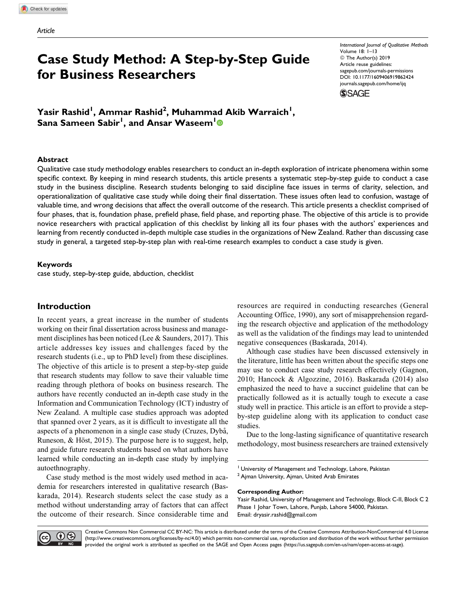# Case Study Method: A Step-by-Step Guide for Business Researchers

International Journal of Qualitative Methods Volume 18: 1–13 ª The Author(s) 2019 Article reuse guidelines: sagepub.com/journals-permissions DOI: 10.1177/1609406919862424 journals.sagepub.com/home/ijq



Yasir Rashid<sup>1</sup>, Ammar Rashid<sup>2</sup>, Muhammad Akib Warraich<sup>1</sup>, Sana Sameen Sabir<sup>1</sup>, and Ansar Waseem<sup>1</sup>

#### **Abstract**

Qualitative case study methodology enables researchers to conduct an in-depth exploration of intricate phenomena within some specific context. By keeping in mind research students, this article presents a systematic step-by-step guide to conduct a case study in the business discipline. Research students belonging to said discipline face issues in terms of clarity, selection, and operationalization of qualitative case study while doing their final dissertation. These issues often lead to confusion, wastage of valuable time, and wrong decisions that affect the overall outcome of the research. This article presents a checklist comprised of four phases, that is, foundation phase, prefield phase, field phase, and reporting phase. The objective of this article is to provide novice researchers with practical application of this checklist by linking all its four phases with the authors' experiences and learning from recently conducted in-depth multiple case studies in the organizations of New Zealand. Rather than discussing case study in general, a targeted step-by-step plan with real-time research examples to conduct a case study is given.

## Keywords

case study, step-by-step guide, abduction, checklist

# Introduction

In recent years, a great increase in the number of students working on their final dissertation across business and management disciplines has been noticed (Lee & Saunders, 2017). This article addresses key issues and challenges faced by the research students (i.e., up to PhD level) from these disciplines. The objective of this article is to present a step-by-step guide that research students may follow to save their valuable time reading through plethora of books on business research. The authors have recently conducted an in-depth case study in the Information and Communication Technology (ICT) industry of New Zealand. A multiple case studies approach was adopted that spanned over 2 years, as it is difficult to investigate all the aspects of a phenomenon in a single case study (Cruzes, Dybå, Runeson,  $& Höst, 2015$ . The purpose here is to suggest, help, and guide future research students based on what authors have learned while conducting an in-depth case study by implying autoethnography.

Case study method is the most widely used method in academia for researchers interested in qualitative research (Baskarada, 2014). Research students select the case study as a method without understanding array of factors that can affect the outcome of their research. Since considerable time and

resources are required in conducting researches (General Accounting Office, 1990), any sort of misapprehension regarding the research objective and application of the methodology as well as the validation of the findings may lead to unintended negative consequences (Baskarada, 2014).

Although case studies have been discussed extensively in the literature, little has been written about the specific steps one may use to conduct case study research effectively (Gagnon, 2010; Hancock & Algozzine, 2016). Baskarada (2014) also emphasized the need to have a succinct guideline that can be practically followed as it is actually tough to execute a case study well in practice. This article is an effort to provide a stepby-step guideline along with its application to conduct case studies.

Due to the long-lasting significance of quantitative research methodology, most business researchers are trained extensively

#### Corresponding Author:

Yasir Rashid, University of Management and Technology, Block C-II, Block C 2 Phase 1 Johar Town, Lahore, Punjab, Lahore 54000, Pakistan. Email: dryasir.rashid@gmail.com



Creative Commons Non Commercial CC BY-NC: This article is distributed under the terms of the Creative Commons Attribution-NonCommercial 4.0 License (http://www.creativecommons.org/licenses/by-nc/4.0/) which permits non-commercial use, reproduction and distribution of the work without further permission provided the original work is attributed as specified on the SAGE and Open Access pages (https://us.sagepub.com/en-us/nam/open-access-at-sage).

<sup>1</sup> University of Management and Technology, Lahore, Pakistan <sup>2</sup> Ajman University, Ajman, United Arab Emirates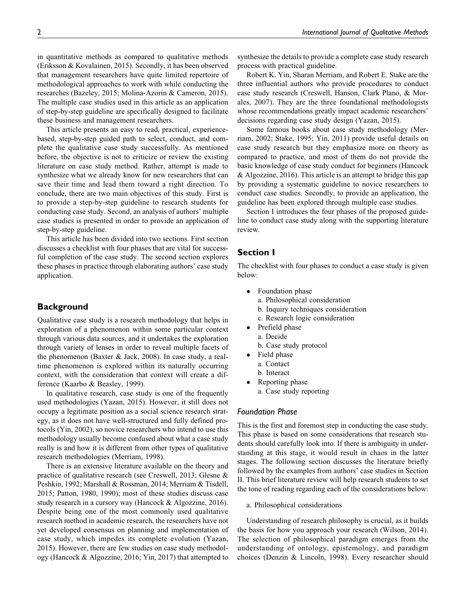in quantitative methods as compared to qualitative methods (Eriksson & Kovalainen, 2015). Secondly, it has been observed that management researchers have quite limited repertoire of methodological approaches to work with while conducting the researches (Bazeley, 2015; Molina-Azorín & Cameron, 2015). The multiple case studies used in this article as an application of step-by-step guideline are specifically designed to facilitate these business and management researchers.

This article presents an easy to read, practical, experiencebased, step-by-step guided path to select, conduct, and complete the qualitative case study successfully. As mentioned before, the objective is not to criticize or review the existing literature on case study method. Rather, attempt is made to synthesize what we already know for new researchers that can save their time and lead them toward a right direction. To conclude, there are two main objectives of this study. First is to provide a step-by-step guideline to research students for conducting case study. Second, an analysis of authors' multiple case studies is presented in order to provide an application of step-by-step guideline.

This article has been divided into two sections. First section discusses a checklist with four phases that are vital for successful completion of the case study. The second section explores these phases in practice through elaborating authors' case study application.

# **Background**

Qualitative case study is a research methodology that helps in exploration of a phenomenon within some particular context through various data sources, and it undertakes the exploration through variety of lenses in order to reveal multiple facets of the phenomenon (Baxter & Jack, 2008). In case study, a realtime phenomenon is explored within its naturally occurring context, with the consideration that context will create a difference (Kaarbo & Beasley, 1999).

In qualitative research, case study is one of the frequently used methodologies (Yazan, 2015). However, it still does not occupy a legitimate position as a social science research strategy, as it does not have well-structured and fully defined protocols (Yin, 2002), so novice researchers who intend to use this methodology usually become confused about what a case study really is and how it is different from other types of qualitative research methodologies (Merriam, 1998).

There is an extensive literature available on the theory and practice of qualitative research (see Creswell, 2013; Glesne & Peshkin, 1992; Marshall & Rossman, 2014; Merriam & Tisdell, 2015; Patton, 1980, 1990); most of these studies discuss case study research in a cursory way (Hancock & Algozzine, 2016). Despite being one of the most commonly used qualitative research method in academic research, the researchers have not yet developed consensus on planning and implementation of case study, which impedes its complete evolution (Yazan, 2015). However, there are few studies on case study methodology (Hancock & Algozzine, 2016; Yin, 2017) that attempted to

synthesize the details to provide a complete case study research process with practical guideline.

Robert K. Yin, Sharan Merriam, and Robert E. Stake are the three influential authors who provide procedures to conduct case study research (Creswell, Hanson, Clark Plano, & Morales, 2007). They are the three foundational methodologists whose recommendations greatly impact academic researchers' decisions regarding case study design (Yazan, 2015).

Some famous books about case study methodology (Merriam, 2002; Stake, 1995; Yin, 2011) provide useful details on case study research but they emphasize more on theory as compared to practice, and most of them do not provide the basic knowledge of case study conduct for beginners (Hancock & Algozzine, 2016). This article is an attempt to bridge this gap by providing a systematic guideline to novice researchers to conduct case studies. Secondly, to provide an application, the guideline has been explored through multiple case studies.

Section I introduces the four phases of the proposed guideline to conduct case study along with the supporting literature review.

# Section I

The checklist with four phases to conduct a case study is given below:

- - Foundation phase
	- a. Philosophical consideration
	- b. Inquiry techniques consideration
	- c. Research logic consideration
- Prefield phase
- a. Decide
- b. Case study protocol
- Field phase

-

- a. Contact
- b. Interact
- - Reporting phase
	- a. Case study reporting

# Foundation Phase

This is the first and foremost step in conducting the case study. This phase is based on some considerations that research students should carefully look into. If there is ambiguity in understanding at this stage, it would result in chaos in the latter stages. The following section discusses the literature briefly followed by the examples from authors' case studies in Section II. This brief literature review will help research students to set the tone of reading regarding each of the considerations below:

a. Philosophical considerations

Understanding of research philosophy is crucial, as it builds the basis for how you approach your research (Wilson, 2014). The selection of philosophical paradigm emerges from the understanding of ontology, epistemology, and paradigm choices (Denzin & Lincoln, 1998). Every researcher should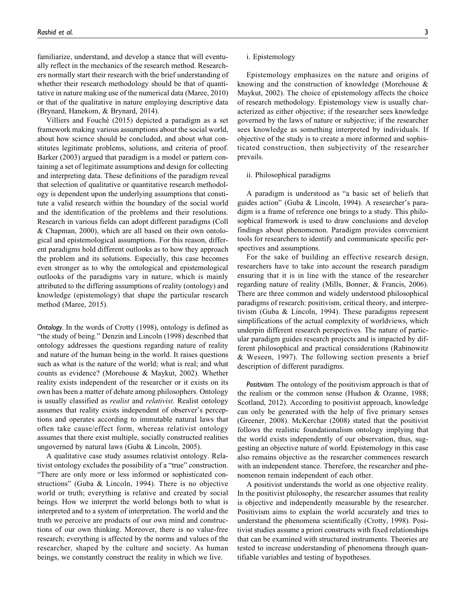familiarize, understand, and develop a stance that will eventually reflect in the mechanics of the research method. Researchers normally start their research with the brief understanding of whether their research methodology should be that of quantitative in nature making use of the numerical data (Maree, 2010) or that of the qualitative in nature employing descriptive data (Brynard, Hanekom, & Brynard, 2014).

Villiers and Fouché (2015) depicted a paradigm as a set framework making various assumptions about the social world, about how science should be concluded, and about what constitutes legitimate problems, solutions, and criteria of proof. Barker (2003) argued that paradigm is a model or pattern containing a set of legitimate assumptions and design for collecting and interpreting data. These definitions of the paradigm reveal that selection of qualitative or quantitative research methodology is dependent upon the underlying assumptions that constitute a valid research within the boundary of the social world and the identification of the problems and their resolutions. Research in various fields can adopt different paradigms (Coll & Chapman, 2000), which are all based on their own ontological and epistemological assumptions. For this reason, different paradigms hold different outlooks as to how they approach the problem and its solutions. Especially, this case becomes even stronger as to why the ontological and epistemological outlooks of the paradigms vary in nature, which is mainly attributed to the differing assumptions of reality (ontology) and knowledge (epistemology) that shape the particular research method (Maree, 2015).

Ontology. In the words of Crotty (1998), ontology is defined as "the study of being." Denzin and Lincoln (1998) described that ontology addresses the questions regarding nature of reality and nature of the human being in the world. It raises questions such as what is the nature of the world; what is real; and what counts as evidence? (Morehouse & Maykut, 2002). Whether reality exists independent of the researcher or it exists on its own has been a matter of debate among philosophers. Ontology is usually classified as *realist* and *relativist*. Realist ontology assumes that reality exists independent of observer's perceptions and operates according to immutable natural laws that often take cause/effect form, whereas relativist ontology assumes that there exist multiple, socially constructed realities ungoverned by natural laws (Guba & Lincoln, 2005).

A qualitative case study assumes relativist ontology. Relativist ontology excludes the possibility of a "true" construction. "There are only more or less informed or sophisticated constructions" (Guba & Lincoln, 1994). There is no objective world or truth; everything is relative and created by social beings. How we interpret the world belongs both to what is interpreted and to a system of interpretation. The world and the truth we perceive are products of our own mind and constructions of our own thinking. Moreover, there is no value-free research; everything is affected by the norms and values of the researcher, shaped by the culture and society. As human beings, we constantly construct the reality in which we live.

#### i. Epistemology

Epistemology emphasizes on the nature and origins of knowing and the construction of knowledge (Morehouse & Maykut, 2002). The choice of epistemology affects the choice of research methodology. Epistemology view is usually characterized as either objective; if the researcher sees knowledge governed by the laws of nature or subjective; if the researcher sees knowledge as something interpreted by individuals. If objective of the study is to create a more informed and sophisticated construction, then subjectivity of the researcher prevails.

#### ii. Philosophical paradigms

A paradigm is understood as "a basic set of beliefs that guides action" (Guba & Lincoln, 1994). A researcher's paradigm is a frame of reference one brings to a study. This philosophical framework is used to draw conclusions and develop findings about phenomenon. Paradigm provides convenient tools for researchers to identify and communicate specific perspectives and assumptions.

For the sake of building an effective research design, researchers have to take into account the research paradigm ensuring that it is in line with the stance of the researcher regarding nature of reality (Mills, Bonner, & Francis, 2006). There are three common and widely understood philosophical paradigms of research: positivism, critical theory, and interpretivism (Guba & Lincoln, 1994). These paradigms represent simplifications of the actual complexity of worldviews, which underpin different research perspectives. The nature of particular paradigm guides research projects and is impacted by different philosophical and practical considerations (Rabinowitz & Weseen, 1997). The following section presents a brief description of different paradigms.

Positivism. The ontology of the positivism approach is that of the realism or the common sense (Hudson & Ozanne, 1988; Scotland, 2012). According to positivist approach, knowledge can only be generated with the help of five primary senses (Greener, 2008). McKerchar (2008) stated that the positivist follows the realistic foundationalism ontology implying that the world exists independently of our observation, thus, suggesting an objective nature of world. Epistemology in this case also remains objective as the researcher commences research with an independent stance. Therefore, the researcher and phenomenon remain independent of each other.

A positivist understands the world as one objective reality. In the positivist philosophy, the researcher assumes that reality is objective and independently measurable by the researcher. Positivism aims to explain the world accurately and tries to understand the phenomena scientifically (Crotty, 1998). Positivist studies assume a priori constructs with fixed relationships that can be examined with structured instruments. Theories are tested to increase understanding of phenomena through quantifiable variables and testing of hypotheses.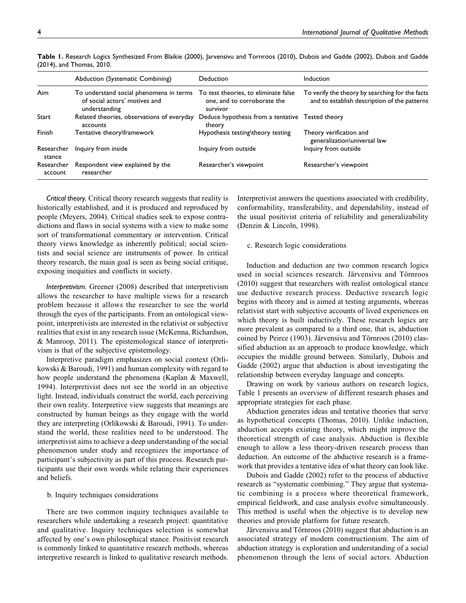|                       | Abduction (Systematic Combining)                                                          | Deduction                                                                       | Induction                                                                                       |
|-----------------------|-------------------------------------------------------------------------------------------|---------------------------------------------------------------------------------|-------------------------------------------------------------------------------------------------|
| Aim                   | To understand social phenomena in terms<br>of social actors' motives and<br>understanding | To test theories, to eliminate false<br>one, and to corroborate the<br>survivor | To verify the theory by searching for the facts<br>and to establish description of the patterns |
| Start                 | Related theories, observations of everyday<br>accounts                                    | Deduce hypothesis from a tentative Tested theory<br>theory                      |                                                                                                 |
| Finish                | Tentative theory\framework                                                                | Hypothesis testing\theory testing                                               | Theory verification and<br>generalization\universal law                                         |
| Researcher<br>stance  | Inquiry from inside                                                                       | Inquiry from outside                                                            | Inquiry from outside                                                                            |
| Researcher<br>account | Respondent view explained by the<br>researcher                                            | Researcher's viewpoint                                                          | Researcher's viewpoint                                                                          |

| Table 1. Research Logics Synthesized From Blaikie (2000), Jarvensivu and Tornroos (2010), Dubois and Gadde (2002), Dubois and Gadde |  |  |  |  |  |  |  |  |
|-------------------------------------------------------------------------------------------------------------------------------------|--|--|--|--|--|--|--|--|
| (2014), and Thomas, 2010.                                                                                                           |  |  |  |  |  |  |  |  |

Critical theory. Critical theory research suggests that reality is historically established, and it is produced and reproduced by people (Meyers, 2004). Critical studies seek to expose contradictions and flaws in social systems with a view to make some sort of transformational commentary or intervention. Critical theory views knowledge as inherently political; social scientists and social science are instruments of power. In critical theory research, the main goal is seen as being social critique, exposing inequities and conflicts in society.

Interpretivism. Greener (2008) described that interpretivism allows the researcher to have multiple views for a research problem because it allows the researcher to see the world through the eyes of the participants. From an ontological viewpoint, interpretivists are interested in the relativist or subjective realities that exist in any research issue (McKenna, Richardson, & Manroop, 2011). The epistemological stance of interpretivism is that of the subjective epistemology.

Interpretive paradigm emphasizes on social context (Orlikowski & Baroudi, 1991) and human complexity with regard to how people understand the phenomena (Kaplan & Maxwell, 1994). Interpretivist does not see the world in an objective light. Instead, individuals construct the world, each perceiving their own reality. Interpretive view suggests that meanings are constructed by human beings as they engage with the world they are interpreting (Orlikowski & Baroudi, 1991). To understand the world, these realities need to be understood. The interpretivist aims to achieve a deep understanding of the social phenomenon under study and recognizes the importance of participant's subjectivity as part of this process. Research participants use their own words while relating their experiences and beliefs.

### b. Inquiry techniques considerations

There are two common inquiry techniques available to researchers while undertaking a research project: quantitative and qualitative. Inquiry techniques selection is somewhat affected by one's own philosophical stance. Positivist research is commonly linked to quantitative research methods, whereas interpretive research is linked to qualitative research methods. Interpretivist answers the questions associated with credibility, conformability, transferability, and dependability, instead of the usual positivist criteria of reliability and generalizability (Denzin & Lincoln, 1998).

#### c. Research logic considerations

Induction and deduction are two common research logics used in social sciences research. Järvensivu and Törnroos (2010) suggest that researchers with realist ontological stance use deductive research process. Deductive research logic begins with theory and is aimed at testing arguments, whereas relativist start with subjective accounts of lived experiences on which theory is built inductively. These research logics are more prevalent as compared to a third one, that is, abduction coined by Peirce (1903). Järvensivu and Törnroos (2010) classified abduction as an approach to produce knowledge, which occupies the middle ground between. Similarly, Dubois and Gadde (2002) argue that abduction is about investigating the relationship between everyday language and concepts.

Drawing on work by various authors on research logics, Table 1 presents an overview of different research phases and appropriate strategies for each phase.

Abduction generates ideas and tentative theories that serve as hypothetical concepts (Thomas, 2010). Unlike induction, abduction accepts existing theory, which might improve the theoretical strength of case analysis. Abduction is flexible enough to allow a less theory-driven research process than deduction. An outcome of the abductive research is a framework that provides a tentative idea of what theory can look like.

Dubois and Gadde (2002) refer to the process of abductive research as "systematic combining." They argue that systematic combining is a process where theoretical framework, empirical fieldwork, and case analysis evolve simultaneously. This method is useful when the objective is to develop new theories and provide platform for future research.

Järvensivu and Törnroos (2010) suggest that abduction is an associated strategy of modern constructionism. The aim of abduction strategy is exploration and understanding of a social phenomenon through the lens of social actors. Abduction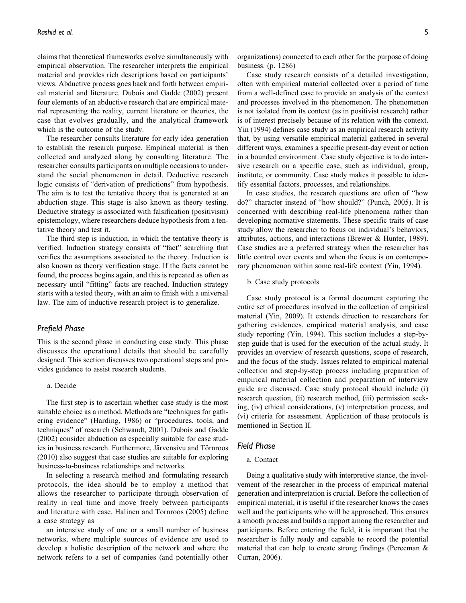claims that theoretical frameworks evolve simultaneously with empirical observation. The researcher interprets the empirical material and provides rich descriptions based on participants' views. Abductive process goes back and forth between empirical material and literature. Dubois and Gadde (2002) present four elements of an abductive research that are empirical material representing the reality, current literature or theories, the case that evolves gradually, and the analytical framework which is the outcome of the study.

The researcher consults literature for early idea generation to establish the research purpose. Empirical material is then collected and analyzed along by consulting literature. The researcher consults participants on multiple occasions to understand the social phenomenon in detail. Deductive research logic consists of "derivation of predictions" from hypothesis. The aim is to test the tentative theory that is generated at an abduction stage. This stage is also known as theory testing. Deductive strategy is associated with falsification (positivism) epistemology, where researchers deduce hypothesis from a tentative theory and test it.

The third step is induction, in which the tentative theory is verified. Induction strategy consists of "fact" searching that verifies the assumptions associated to the theory. Induction is also known as theory verification stage. If the facts cannot be found, the process begins again, and this is repeated as often as necessary until "fitting" facts are reached. Induction strategy starts with a tested theory, with an aim to finish with a universal law. The aim of inductive research project is to generalize.

## Prefield Phase

This is the second phase in conducting case study. This phase discusses the operational details that should be carefully designed. This section discusses two operational steps and provides guidance to assist research students.

## a. Decide

The first step is to ascertain whether case study is the most suitable choice as a method. Methods are "techniques for gathering evidence" (Harding, 1986) or "procedures, tools, and techniques" of research (Schwandt, 2001). Dubois and Gadde (2002) consider abduction as especially suitable for case studies in business research. Furthermore, Järvensivu and Törnroos (2010) also suggest that case studies are suitable for exploring business-to-business relationships and networks.

In selecting a research method and formulating research protocols, the idea should be to employ a method that allows the researcher to participate through observation of reality in real time and move freely between participants and literature with ease. Halinen and Tornroos (2005) define a case strategy as

an intensive study of one or a small number of business networks, where multiple sources of evidence are used to develop a holistic description of the network and where the network refers to a set of companies (and potentially other organizations) connected to each other for the purpose of doing business. (p. 1286)

Case study research consists of a detailed investigation, often with empirical material collected over a period of time from a well-defined case to provide an analysis of the context and processes involved in the phenomenon. The phenomenon is not isolated from its context (as in positivist research) rather is of interest precisely because of its relation with the context. Yin (1994) defines case study as an empirical research activity that, by using versatile empirical material gathered in several different ways, examines a specific present-day event or action in a bounded environment. Case study objective is to do intensive research on a specific case, such as individual, group, institute, or community. Case study makes it possible to identify essential factors, processes, and relationships.

In case studies, the research questions are often of "how do?" character instead of "how should?" (Punch, 2005). It is concerned with describing real-life phenomena rather than developing normative statements. These specific traits of case study allow the researcher to focus on individual's behaviors, attributes, actions, and interactions (Brewer & Hunter, 1989). Case studies are a preferred strategy when the researcher has little control over events and when the focus is on contemporary phenomenon within some real-life context (Yin, 1994).

b. Case study protocols

Case study protocol is a formal document capturing the entire set of procedures involved in the collection of empirical material (Yin, 2009). It extends direction to researchers for gathering evidences, empirical material analysis, and case study reporting (Yin, 1994). This section includes a step-bystep guide that is used for the execution of the actual study. It provides an overview of research questions, scope of research, and the focus of the study. Issues related to empirical material collection and step-by-step process including preparation of empirical material collection and preparation of interview guide are discussed. Case study protocol should include (i) research question, (ii) research method, (iii) permission seeking, (iv) ethical considerations, (v) interpretation process, and (vi) criteria for assessment. Application of these protocols is mentioned in Section II.

## Field Phase

## a. Contact

Being a qualitative study with interpretive stance, the involvement of the researcher in the process of empirical material generation and interpretation is crucial. Before the collection of empirical material, it is useful if the researcher knows the cases well and the participants who will be approached. This ensures a smooth process and builds a rapport among the researcher and participants. Before entering the field, it is important that the researcher is fully ready and capable to record the potential material that can help to create strong findings (Perecman & Curran, 2006).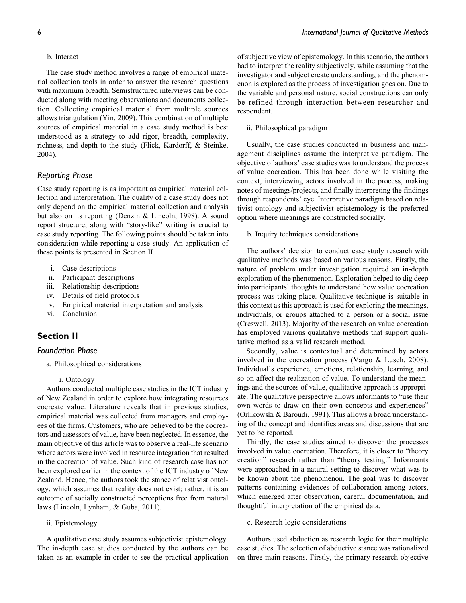The case study method involves a range of empirical material collection tools in order to answer the research questions with maximum breadth. Semistructured interviews can be conducted along with meeting observations and documents collection. Collecting empirical material from multiple sources allows triangulation (Yin, 2009). This combination of multiple sources of empirical material in a case study method is best understood as a strategy to add rigor, breadth, complexity, richness, and depth to the study (Flick, Kardorff, & Steinke, 2004).

# Reporting Phase

Case study reporting is as important as empirical material collection and interpretation. The quality of a case study does not only depend on the empirical material collection and analysis but also on its reporting (Denzin & Lincoln, 1998). A sound report structure, along with "story-like" writing is crucial to case study reporting. The following points should be taken into consideration while reporting a case study. An application of these points is presented in Section II.

- i. Case descriptions
- ii. Participant descriptions
- iii. Relationship descriptions
- iv. Details of field protocols
- v. Empirical material interpretation and analysis
- vi. Conclusion

# Section II

#### Foundation Phase

a. Philosophical considerations

#### i. Ontology

Authors conducted multiple case studies in the ICT industry of New Zealand in order to explore how integrating resources cocreate value. Literature reveals that in previous studies, empirical material was collected from managers and employees of the firms. Customers, who are believed to be the cocreators and assessors of value, have been neglected. In essence, the main objective of this article was to observe a real-life scenario where actors were involved in resource integration that resulted in the cocreation of value. Such kind of research case has not been explored earlier in the context of the ICT industry of New Zealand. Hence, the authors took the stance of relativist ontology, which assumes that reality does not exist; rather, it is an outcome of socially constructed perceptions free from natural laws (Lincoln, Lynham, & Guba, 2011).

### ii. Epistemology

A qualitative case study assumes subjectivist epistemology. The in-depth case studies conducted by the authors can be taken as an example in order to see the practical application had to interpret the reality subjectively, while assuming that the investigator and subject create understanding, and the phenomenon is explored as the process of investigation goes on. Due to the variable and personal nature, social constructions can only be refined through interaction between researcher and respondent.

ii. Philosophical paradigm

Usually, the case studies conducted in business and management disciplines assume the interpretive paradigm. The objective of authors' case studies was to understand the process of value cocreation. This has been done while visiting the context, interviewing actors involved in the process, making notes of meetings/projects, and finally interpreting the findings through respondents' eye. Interpretive paradigm based on relativist ontology and subjectivist epistemology is the preferred option where meanings are constructed socially.

b. Inquiry techniques considerations

The authors' decision to conduct case study research with qualitative methods was based on various reasons. Firstly, the nature of problem under investigation required an in-depth exploration of the phenomenon. Exploration helped to dig deep into participants' thoughts to understand how value cocreation process was taking place. Qualitative technique is suitable in this context as this approach is used for exploring the meanings, individuals, or groups attached to a person or a social issue (Creswell, 2013). Majority of the research on value cocreation has employed various qualitative methods that support qualitative method as a valid research method.

Secondly, value is contextual and determined by actors involved in the cocreation process (Vargo & Lusch, 2008). Individual's experience, emotions, relationship, learning, and so on affect the realization of value. To understand the meanings and the sources of value, qualitative approach is appropriate. The qualitative perspective allows informants to "use their own words to draw on their own concepts and experiences" (Orlikowski & Baroudi, 1991). This allows a broad understanding of the concept and identifies areas and discussions that are yet to be reported.

Thirdly, the case studies aimed to discover the processes involved in value cocreation. Therefore, it is closer to "theory creation" research rather than "theory testing." Informants were approached in a natural setting to discover what was to be known about the phenomenon. The goal was to discover patterns containing evidences of collaboration among actors, which emerged after observation, careful documentation, and thoughtful interpretation of the empirical data.

#### c. Research logic considerations

Authors used abduction as research logic for their multiple case studies. The selection of abductive stance was rationalized on three main reasons. Firstly, the primary research objective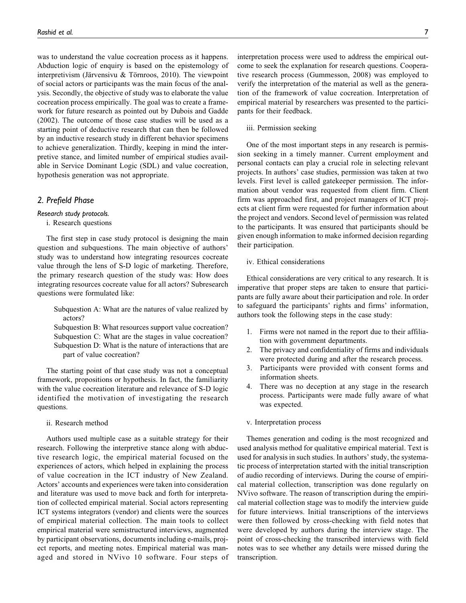was to understand the value cocreation process as it happens. Abduction logic of enquiry is based on the epistemology of interpretivism (Järvensivu & Törnroos, 2010). The viewpoint of social actors or participants was the main focus of the analysis. Secondly, the objective of study was to elaborate the value cocreation process empirically. The goal was to create a framework for future research as pointed out by Dubois and Gadde (2002). The outcome of those case studies will be used as a starting point of deductive research that can then be followed by an inductive research study in different behavior specimens to achieve generalization. Thirdly, keeping in mind the interpretive stance, and limited number of empirical studies available in Service Dominant Logic (SDL) and value cocreation, hypothesis generation was not appropriate.

# 2. Prefield Phase

Research study protocols.

i. Research questions

The first step in case study protocol is designing the main question and subquestions. The main objective of authors' study was to understand how integrating resources cocreate value through the lens of S-D logic of marketing. Therefore, the primary research question of the study was: How does integrating resources cocreate value for all actors? Subresearch questions were formulated like:

Subquestion A: What are the natures of value realized by actors?

Subquestion B: What resources support value cocreation? Subquestion C: What are the stages in value cocreation? Subquestion D: What is the nature of interactions that are part of value cocreation?

The starting point of that case study was not a conceptual framework, propositions or hypothesis. In fact, the familiarity with the value cocreation literature and relevance of S-D logic identified the motivation of investigating the research questions.

ii. Research method

Authors used multiple case as a suitable strategy for their research. Following the interpretive stance along with abductive research logic, the empirical material focused on the experiences of actors, which helped in explaining the process of value cocreation in the ICT industry of New Zealand. Actors' accounts and experiences were taken into consideration and literature was used to move back and forth for interpretation of collected empirical material. Social actors representing ICT systems integrators (vendor) and clients were the sources of empirical material collection. The main tools to collect empirical material were semistructured interviews, augmented by participant observations, documents including e-mails, project reports, and meeting notes. Empirical material was managed and stored in NVivo 10 software. Four steps of interpretation process were used to address the empirical outcome to seek the explanation for research questions. Cooperative research process (Gummesson, 2008) was employed to verify the interpretation of the material as well as the generation of the framework of value cocreation. Interpretation of empirical material by researchers was presented to the participants for their feedback.

iii. Permission seeking

One of the most important steps in any research is permission seeking in a timely manner. Current employment and personal contacts can play a crucial role in selecting relevant projects. In authors' case studies, permission was taken at two levels. First level is called gatekeeper permission. The information about vendor was requested from client firm. Client firm was approached first, and project managers of ICT projects at client firm were requested for further information about the project and vendors. Second level of permission was related to the participants. It was ensured that participants should be given enough information to make informed decision regarding their participation.

iv. Ethical considerations

Ethical considerations are very critical to any research. It is imperative that proper steps are taken to ensure that participants are fully aware about their participation and role. In order to safeguard the participants' rights and firms' information, authors took the following steps in the case study:

- 1. Firms were not named in the report due to their affiliation with government departments.
- 2. The privacy and confidentiality of firms and individuals were protected during and after the research process.
- 3. Participants were provided with consent forms and information sheets.
- 4. There was no deception at any stage in the research process. Participants were made fully aware of what was expected.

## v. Interpretation process

Themes generation and coding is the most recognized and used analysis method for qualitative empirical material. Text is used for analysis in such studies. In authors' study, the systematic process of interpretation started with the initial transcription of audio recording of interviews. During the course of empirical material collection, transcription was done regularly on NVivo software. The reason of transcription during the empirical material collection stage was to modify the interview guide for future interviews. Initial transcriptions of the interviews were then followed by cross-checking with field notes that were developed by authors during the interview stage. The point of cross-checking the transcribed interviews with field notes was to see whether any details were missed during the transcription.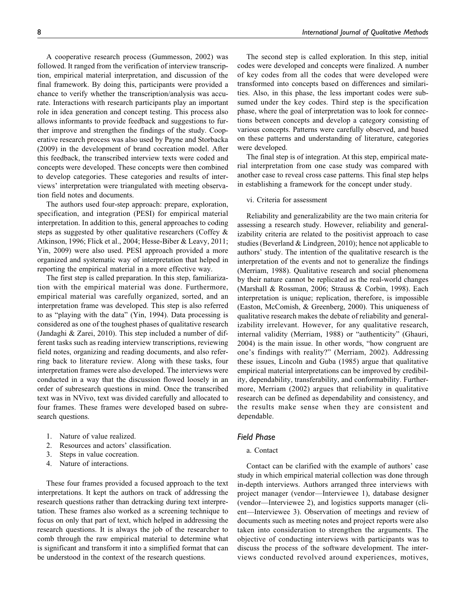A cooperative research process (Gummesson, 2002) was followed. It ranged from the verification of interview transcription, empirical material interpretation, and discussion of the final framework. By doing this, participants were provided a chance to verify whether the transcription/analysis was accurate. Interactions with research participants play an important role in idea generation and concept testing. This process also allows informants to provide feedback and suggestions to further improve and strengthen the findings of the study. Cooperative research process was also used by Payne and Storbacka (2009) in the development of brand cocreation model. After this feedback, the transcribed interview texts were coded and concepts were developed. These concepts were then combined to develop categories. These categories and results of interviews' interpretation were triangulated with meeting observation field notes and documents.

The authors used four-step approach: prepare, exploration, specification, and integration (PESI) for empirical material interpretation. In addition to this, general approaches to coding steps as suggested by other qualitative researchers (Coffey & Atkinson, 1996; Flick et al., 2004; Hesse-Biber & Leavy, 2011; Yin, 2009) were also used. PESI approach provided a more organized and systematic way of interpretation that helped in reporting the empirical material in a more effective way.

The first step is called preparation. In this step, familiarization with the empirical material was done. Furthermore, empirical material was carefully organized, sorted, and an interpretation frame was developed. This step is also referred to as "playing with the data" (Yin, 1994). Data processing is considered as one of the toughest phases of qualitative research (Jandaghi & Zarei, 2010). This step included a number of different tasks such as reading interview transcriptions, reviewing field notes, organizing and reading documents, and also referring back to literature review. Along with these tasks, four interpretation frames were also developed. The interviews were conducted in a way that the discussion flowed loosely in an order of subresearch questions in mind. Once the transcribed text was in NVivo, text was divided carefully and allocated to four frames. These frames were developed based on subresearch questions.

- 1. Nature of value realized.
- 2. Resources and actors' classification.
- 3. Steps in value cocreation.
- 4. Nature of interactions.

These four frames provided a focused approach to the text interpretations. It kept the authors on track of addressing the research questions rather than detracking during text interpretation. These frames also worked as a screening technique to focus on only that part of text, which helped in addressing the research questions. It is always the job of the researcher to comb through the raw empirical material to determine what is significant and transform it into a simplified format that can be understood in the context of the research questions.

The second step is called exploration. In this step, initial codes were developed and concepts were finalized. A number of key codes from all the codes that were developed were transformed into concepts based on differences and similarities. Also, in this phase, the less important codes were subsumed under the key codes. Third step is the specification phase, where the goal of interpretation was to look for connections between concepts and develop a category consisting of various concepts. Patterns were carefully observed, and based on these patterns and understanding of literature, categories were developed.

The final step is of integration. At this step, empirical material interpretation from one case study was compared with another case to reveal cross case patterns. This final step helps in establishing a framework for the concept under study.

#### vi. Criteria for assessment

Reliability and generalizability are the two main criteria for assessing a research study. However, reliability and generalizability criteria are related to the positivist approach to case studies (Beverland & Lindgreen, 2010); hence not applicable to authors' study. The intention of the qualitative research is the interpretation of the events and not to generalize the findings (Merriam, 1988). Qualitative research and social phenomena by their nature cannot be replicated as the real-world changes (Marshall & Rossman, 2006; Strauss & Corbin, 1998). Each interpretation is unique; replication, therefore, is impossible (Easton, McComish, & Greenberg, 2000). This uniqueness of qualitative research makes the debate of reliability and generalizability irrelevant. However, for any qualitative research, internal validity (Merriam, 1988) or "authenticity" (Ghauri, 2004) is the main issue. In other words, "how congruent are one's findings with reality?" (Merriam, 2002). Addressing these issues, Lincoln and Guba (1985) argue that qualitative empirical material interpretations can be improved by credibility, dependability, transferability, and conformability. Furthermore, Merriam (2002) argues that reliability in qualitative research can be defined as dependability and consistency, and the results make sense when they are consistent and dependable.

# Field Phase

#### a. Contact

Contact can be clarified with the example of authors' case study in which empirical material collection was done through in-depth interviews. Authors arranged three interviews with project manager (vendor—Interviewee 1), database designer (vendor—Interviewee 2), and logistics supports manager (client—Interviewee 3). Observation of meetings and review of documents such as meeting notes and project reports were also taken into consideration to strengthen the arguments. The objective of conducting interviews with participants was to discuss the process of the software development. The interviews conducted revolved around experiences, motives,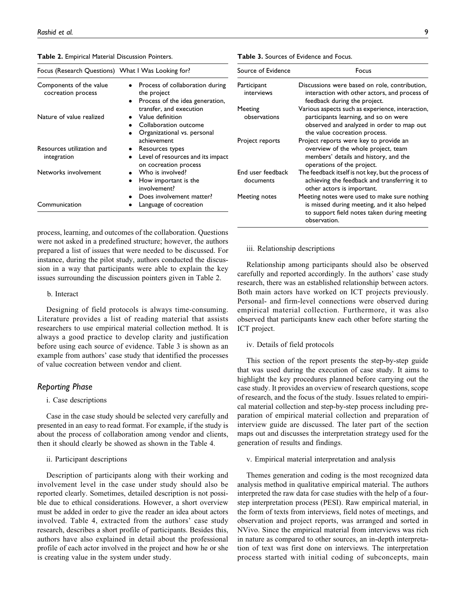|  |  |  | Table 2. Empirical Material Discussion Pointers. |  |
|--|--|--|--------------------------------------------------|--|
|--|--|--|--------------------------------------------------|--|

| Focus (Research Questions) What I Was Looking for? |                                                                                                     | Source of                 |
|----------------------------------------------------|-----------------------------------------------------------------------------------------------------|---------------------------|
| Components of the value<br>cocreation process      | • Process of collaboration during<br>the project<br>Process of the idea generation,                 | Participant<br>intervie   |
| Nature of value realized                           | transfer, and execution<br>Value definition<br>Collaboration outcome<br>Organizational vs. personal | <b>Meeting</b><br>observa |
| Resources utilization and<br>integration           | achievement<br>Resources types<br>Level of resources and its impact<br>on cocreation process        | Project re                |
| Networks involvement                               | Who is involved?<br>How important is the<br>involvement?                                            | End user f<br>docume      |
| Communication                                      | Does involvement matter?<br>Language of cocreation                                                  | Meeting no                |

Table 3. Sources of Evidence and Focus.

| Source of Evidence             | Focus                                                                                                                                                                   |  |  |  |  |
|--------------------------------|-------------------------------------------------------------------------------------------------------------------------------------------------------------------------|--|--|--|--|
| Participant<br>interviews      | Discussions were based on role, contribution,<br>interaction with other actors, and process of<br>feedback during the project.                                          |  |  |  |  |
| Meeting<br>observations        | Various aspects such as experience, interaction,<br>participants learning, and so on were<br>observed and analyzed in order to map out<br>the value cocreation process. |  |  |  |  |
| Project reports                | Project reports were key to provide an<br>overview of the whole project, team<br>members' details and history, and the<br>operations of the project.                    |  |  |  |  |
| End user feedback<br>documents | The feedback itself is not key, but the process of<br>achieving the feedback and transferring it to<br>other actors is important.                                       |  |  |  |  |
| Meeting notes                  | Meeting notes were used to make sure nothing<br>is missed during meeting, and it also helped<br>to support field notes taken during meeting<br>observation.             |  |  |  |  |

process, learning, and outcomes of the collaboration. Questions were not asked in a predefined structure; however, the authors prepared a list of issues that were needed to be discussed. For instance, during the pilot study, authors conducted the discussion in a way that participants were able to explain the key issues surrounding the discussion pointers given in Table 2.

## b. Interact

Designing of field protocols is always time-consuming. Literature provides a list of reading material that assists researchers to use empirical material collection method. It is always a good practice to develop clarity and justification before using each source of evidence. Table 3 is shown as an example from authors' case study that identified the processes of value cocreation between vendor and client.

# Reporting Phase

### i. Case descriptions

Case in the case study should be selected very carefully and presented in an easy to read format. For example, if the study is about the process of collaboration among vendor and clients, then it should clearly be showed as shown in the Table 4.

#### ii. Participant descriptions

Description of participants along with their working and involvement level in the case under study should also be reported clearly. Sometimes, detailed description is not possible due to ethical considerations. However, a short overview must be added in order to give the reader an idea about actors involved. Table 4, extracted from the authors' case study research, describes a short profile of participants. Besides this, authors have also explained in detail about the professional profile of each actor involved in the project and how he or she is creating value in the system under study.

#### iii. Relationship descriptions

Relationship among participants should also be observed carefully and reported accordingly. In the authors' case study research, there was an established relationship between actors. Both main actors have worked on ICT projects previously. Personal- and firm-level connections were observed during empirical material collection. Furthermore, it was also observed that participants knew each other before starting the ICT project.

#### iv. Details of field protocols

This section of the report presents the step-by-step guide that was used during the execution of case study. It aims to highlight the key procedures planned before carrying out the case study. It provides an overview of research questions, scope of research, and the focus of the study. Issues related to empirical material collection and step-by-step process including preparation of empirical material collection and preparation of interview guide are discussed. The later part of the section maps out and discusses the interpretation strategy used for the generation of results and findings.

v. Empirical material interpretation and analysis

Themes generation and coding is the most recognized data analysis method in qualitative empirical material. The authors interpreted the raw data for case studies with the help of a fourstep interpretation process (PESI). Raw empirical material, in the form of texts from interviews, field notes of meetings, and observation and project reports, was arranged and sorted in NVivo. Since the empirical material from interviews was rich in nature as compared to other sources, an in-depth interpretation of text was first done on interviews. The interpretation process started with initial coding of subconcepts, main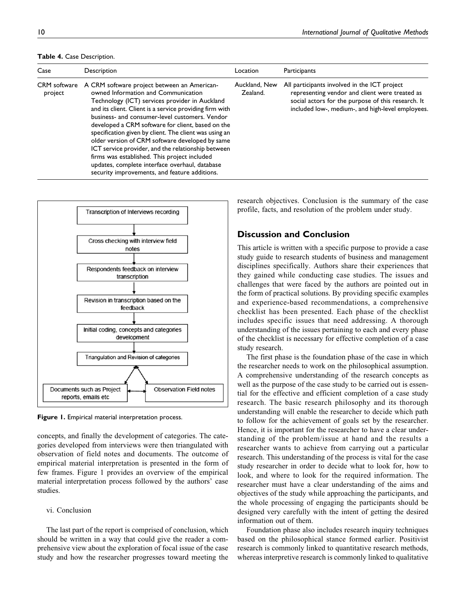| Case                    | Description                                                                                                                                                                                                                                                                                                                                                                                                                                                                                                                                                                                                                  | Location                  | Participants                                                                                                                                                                                              |
|-------------------------|------------------------------------------------------------------------------------------------------------------------------------------------------------------------------------------------------------------------------------------------------------------------------------------------------------------------------------------------------------------------------------------------------------------------------------------------------------------------------------------------------------------------------------------------------------------------------------------------------------------------------|---------------------------|-----------------------------------------------------------------------------------------------------------------------------------------------------------------------------------------------------------|
| CRM software<br>project | A CRM software project between an American-<br>owned Information and Communication<br>Technology (ICT) services provider in Auckland<br>and its client. Client is a service providing firm with<br>business- and consumer-level customers. Vendor<br>developed a CRM software for client, based on the<br>specification given by client. The client was using an<br>older version of CRM software developed by same<br>ICT service provider, and the relationship between<br>firms was established. This project included<br>updates, complete interface overhaul, database<br>security improvements, and feature additions. | Auckland, New<br>Zealand. | All participants involved in the ICT project<br>representing vendor and client were treated as<br>social actors for the purpose of this research. It<br>included low-, medium-, and high-level employees. |

Table 4. Case Description.



Figure 1. Empirical material interpretation process.

concepts, and finally the development of categories. The categories developed from interviews were then triangulated with observation of field notes and documents. The outcome of empirical material interpretation is presented in the form of few frames. Figure 1 provides an overview of the empirical material interpretation process followed by the authors' case studies.

#### vi. Conclusion

The last part of the report is comprised of conclusion, which should be written in a way that could give the reader a comprehensive view about the exploration of focal issue of the case study and how the researcher progresses toward meeting the research objectives. Conclusion is the summary of the case profile, facts, and resolution of the problem under study.

# Discussion and Conclusion

This article is written with a specific purpose to provide a case study guide to research students of business and management disciplines specifically. Authors share their experiences that they gained while conducting case studies. The issues and challenges that were faced by the authors are pointed out in the form of practical solutions. By providing specific examples and experience-based recommendations, a comprehensive checklist has been presented. Each phase of the checklist includes specific issues that need addressing. A thorough understanding of the issues pertaining to each and every phase of the checklist is necessary for effective completion of a case study research.

The first phase is the foundation phase of the case in which the researcher needs to work on the philosophical assumption. A comprehensive understanding of the research concepts as well as the purpose of the case study to be carried out is essential for the effective and efficient completion of a case study research. The basic research philosophy and its thorough understanding will enable the researcher to decide which path to follow for the achievement of goals set by the researcher. Hence, it is important for the researcher to have a clear understanding of the problem/issue at hand and the results a researcher wants to achieve from carrying out a particular research. This understanding of the process is vital for the case study researcher in order to decide what to look for, how to look, and where to look for the required information. The researcher must have a clear understanding of the aims and objectives of the study while approaching the participants, and the whole processing of engaging the participants should be designed very carefully with the intent of getting the desired information out of them.

Foundation phase also includes research inquiry techniques based on the philosophical stance formed earlier. Positivist research is commonly linked to quantitative research methods, whereas interpretive research is commonly linked to qualitative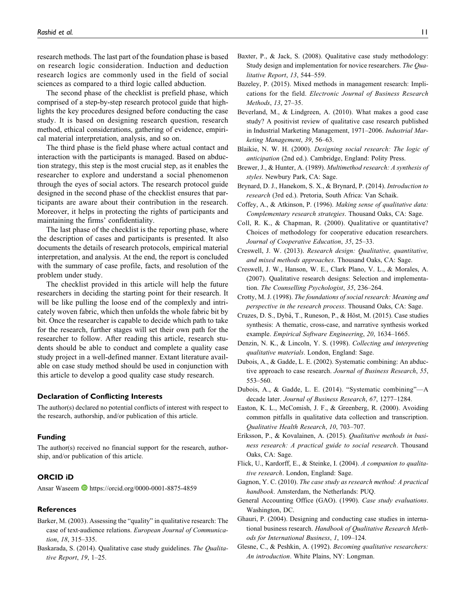research methods. The last part of the foundation phase is based on research logic consideration. Induction and deduction research logics are commonly used in the field of social sciences as compared to a third logic called abduction.

The second phase of the checklist is prefield phase, which comprised of a step-by-step research protocol guide that highlights the key procedures designed before conducting the case study. It is based on designing research question, research method, ethical considerations, gathering of evidence, empirical material interpretation, analysis, and so on.

The third phase is the field phase where actual contact and interaction with the participants is managed. Based on abduction strategy, this step is the most crucial step, as it enables the researcher to explore and understand a social phenomenon through the eyes of social actors. The research protocol guide designed in the second phase of the checklist ensures that participants are aware about their contribution in the research. Moreover, it helps in protecting the rights of participants and maintaining the firms' confidentiality.

The last phase of the checklist is the reporting phase, where the description of cases and participants is presented. It also documents the details of research protocols, empirical material interpretation, and analysis. At the end, the report is concluded with the summary of case profile, facts, and resolution of the problem under study.

The checklist provided in this article will help the future researchers in deciding the starting point for their research. It will be like pulling the loose end of the complexly and intricately woven fabric, which then unfolds the whole fabric bit by bit. Once the researcher is capable to decide which path to take for the research, further stages will set their own path for the researcher to follow. After reading this article, research students should be able to conduct and complete a quality case study project in a well-defined manner. Extant literature available on case study method should be used in conjunction with this article to develop a good quality case study research.

#### Declaration of Conflicting Interests

The author(s) declared no potential conflicts of interest with respect to the research, authorship, and/or publication of this article.

#### Funding

The author(s) received no financial support for the research, authorship, and/or publication of this article.

#### ORCID iD

Ansar Waseem **b** https://orcid.org/0000-0001-8875-4859

#### References

- Barker, M. (2003). Assessing the "quality" in qualitative research: The case of text-audience relations. European Journal of Communication, 18, 315–335.
- Baskarada, S. (2014). Qualitative case study guidelines. The Qualitative Report, 19, 1–25.
- Baxter, P., & Jack, S. (2008). Qualitative case study methodology: Study design and implementation for novice researchers. The Qualitative Report, 13, 544–559.
- Bazeley, P. (2015). Mixed methods in management research: Implications for the field. Electronic Journal of Business Research Methods, 13, 27–35.
- Beverland, M., & Lindgreen, A. (2010). What makes a good case study? A positivist review of qualitative case research published in Industrial Marketing Management, 1971–2006. Industrial Marketing Management, 39, 56–63.
- Blaikie, N. W. H. (2000). Designing social research: The logic of anticipation (2nd ed.). Cambridge, England: Polity Press.
- Brewer, J., & Hunter, A. (1989). Multimethod research: A synthesis of styles. Newbury Park, CA: Sage.
- Brynard, D. J., Hanekom, S. X., & Brynard, P. (2014). Introduction to research (3rd ed.). Pretoria, South Africa: Van Schaik.
- Coffey, A., & Atkinson, P. (1996). Making sense of qualitative data: Complementary research strategies. Thousand Oaks, CA: Sage.
- Coll, R. K., & Chapman, R. (2000). Qualitative or quantitative? Choices of methodology for cooperative education researchers. Journal of Cooperative Education, 35, 25–33.
- Creswell, J. W. (2013). Research design: Qualitative, quantitative, and mixed methods approaches. Thousand Oaks, CA: Sage.
- Creswell, J. W., Hanson, W. E., Clark Plano, V. L., & Morales, A. (2007). Qualitative research designs: Selection and implementation. The Counselling Psychologist, 35, 236–264.
- Crotty, M. J. (1998). The foundations of social research: Meaning and perspective in the research process. Thousand Oaks, CA: Sage.
- Cruzes, D. S., Dybå, T., Runeson, P., & Höst, M. (2015). Case studies synthesis: A thematic, cross-case, and narrative synthesis worked example. Empirical Software Engineering, 20, 1634–1665.
- Denzin, N. K., & Lincoln, Y. S. (1998). Collecting and interpreting qualitative materials. London, England: Sage.
- Dubois, A., & Gadde, L. E. (2002). Systematic combining: An abductive approach to case research. Journal of Business Research, 55, 553–560.
- Dubois, A., & Gadde, L. E. (2014). "Systematic combining"—A decade later. Journal of Business Research, 67, 1277–1284.
- Easton, K. L., McComish, J. F., & Greenberg, R. (2000). Avoiding common pitfalls in qualitative data collection and transcription. Qualitative Health Research, 10, 703–707.
- Eriksson, P., & Kovalainen, A. (2015). Qualitative methods in business research: A practical guide to social research. Thousand Oaks, CA: Sage.
- Flick, U., Kardorff, E., & Steinke, I. (2004). A companion to qualitative research. London, England: Sage.
- Gagnon, Y. C. (2010). The case study as research method: A practical handbook. Amsterdam, the Netherlands: PUQ.
- General Accounting Office (GAO). (1990). Case study evaluations. Washington, DC.
- Ghauri, P. (2004). Designing and conducting case studies in international business research. Handbook of Qualitative Research Methods for International Business, 1, 109–124.
- Glesne, C., & Peshkin, A. (1992). Becoming qualitative researchers: An introduction. White Plains, NY: Longman.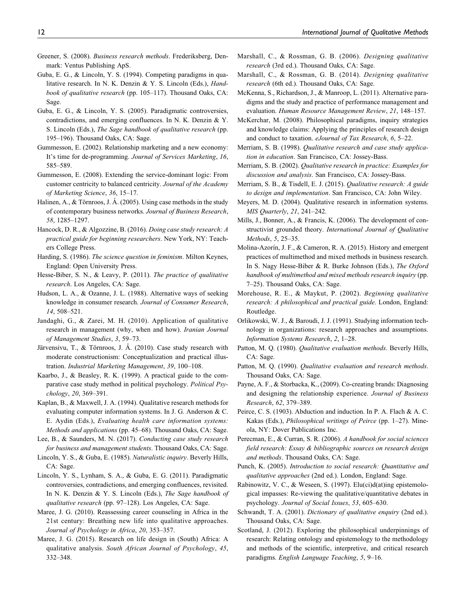- Greener, S. (2008). Business research methods. Frederiksberg, Denmark: Ventus Publishing ApS.
- Guba, E. G., & Lincoln, Y. S. (1994). Competing paradigms in qualitative research. In N. K. Denzin & Y. S. Lincoln (Eds.), Handbook of qualitative research (pp. 105–117). Thousand Oaks, CA: Sage.
- Guba, E. G., & Lincoln, Y. S. (2005). Paradigmatic controversies, contradictions, and emerging confluences. In N. K. Denzin & Y. S. Lincoln (Eds.), The Sage handbook of qualitative research (pp. 195–196). Thousand Oaks, CA: Sage.
- Gummesson, E. (2002). Relationship marketing and a new economy: It's time for de-programming. Journal of Services Marketing, 16, 585–589.
- Gummesson, E. (2008). Extending the service-dominant logic: From customer centricity to balanced centricity. Journal of the Academy of Marketing Science, 36, 15–17.
- Halinen, A., & Törnroos, J. Å. (2005). Using case methods in the study of contemporary business networks. Journal of Business Research, 58, 1285–1297.
- Hancock, D. R., & Algozzine, B. (2016). Doing case study research: A practical guide for beginning researchers. New York, NY: Teachers College Press.
- Harding, S. (1986). The science question in feminism. Milton Keynes, England: Open University Press.
- Hesse-Biber, S. N., & Leavy, P. (2011). The practice of qualitative research. Los Angeles, CA: Sage.
- Hudson, L. A., & Ozanne, J. L. (1988). Alternative ways of seeking knowledge in consumer research. Journal of Consumer Research, 14, 508–521.
- Jandaghi, G., & Zarei, M. H. (2010). Application of qualitative research in management (why, when and how). Iranian Journal of Management Studies, 3, 59–73.
- Järvensivu, T., & Törnroos, J. Å. (2010). Case study research with moderate constructionism: Conceptualization and practical illustration. Industrial Marketing Management, 39, 100–108.
- Kaarbo, J., & Beasley, R. K. (1999). A practical guide to the comparative case study method in political psychology. Political Psychology, 20, 369–391.
- Kaplan, B., & Maxwell, J. A. (1994). Qualitative research methods for evaluating computer information systems. In J. G. Anderson & C. E. Aydin (Eds.), Evaluating health care information systems: Methods and applications (pp. 45–68). Thousand Oaks, CA: Sage.
- Lee, B., & Saunders, M. N. (2017). Conducting case study research for business and management students. Thousand Oaks, CA: Sage.
- Lincoln, Y. S., & Guba, E. (1985). Naturalistic inquiry. Beverly Hills, CA: Sage.
- Lincoln, Y. S., Lynham, S. A., & Guba, E. G. (2011). Paradigmatic controversies, contradictions, and emerging confluences, revisited. In N. K. Denzin & Y. S. Lincoln (Eds.), The Sage handbook of qualitative research (pp. 97–128). Los Angeles, CA: Sage.
- Maree, J. G. (2010). Reassessing career counseling in Africa in the 21st century: Breathing new life into qualitative approaches. Journal of Psychology in Africa, 20, 353–357.
- Maree, J. G. (2015). Research on life design in (South) Africa: A qualitative analysis. South African Journal of Psychology, 45, 332–348.
- Marshall, C., & Rossman, G. B. (2006). Designing qualitative research (3rd ed.). Thousand Oaks, CA: Sage.
- Marshall, C., & Rossman, G. B. (2014). Designing qualitative research (6th ed.). Thousand Oaks, CA: Sage.
- McKenna, S., Richardson, J., & Manroop, L. (2011). Alternative paradigms and the study and practice of performance management and evaluation. Human Resource Management Review, 21, 148–157.
- McKerchar, M. (2008). Philosophical paradigms, inquiry strategies and knowledge claims: Applying the principles of research design and conduct to taxation. eJournal of Tax Research, 6, 5-22.
- Merriam, S. B. (1998). Qualitative research and case study application in education. San Francisco, CA: Jossey-Bass.
- Merriam, S. B. (2002). Qualitative research in practice: Examples for discussion and analysis. San Francisco, CA: Jossey-Bass.
- Merriam, S. B., & Tisdell, E. J. (2015). Qualitative research: A guide to design and implementation. San Francisco, CA: John Wiley.
- Meyers, M. D. (2004). Qualitative research in information systems. MIS Quarterly, 21, 241–242.
- Mills, J., Bonner, A., & Francis, K. (2006). The development of constructivist grounded theory. International Journal of Qualitative Methods, 5, 25–35.
- Molina-Azorín, J. F., & Cameron, R. A. (2015). History and emergent practices of multimethod and mixed methods in business research. In S. Nagy Hesse-Biber & R. Burke Johnson (Eds.), The Oxford handbook of multimethod and mixed methods research inquiry (pp. 7–25). Thousand Oaks, CA: Sage.
- Morehouse, R. E., & Maykut, P. (2002). Beginning qualitative research: A philosophical and practical guide. London, England: Routledge.
- Orlikowski, W. J., & Baroudi, J. J. (1991). Studying information technology in organizations: research approaches and assumptions. Information Systems Research, 2, 1–28.
- Patton, M. Q. (1980). Qualitative evaluation methods. Beverly Hills, CA: Sage.
- Patton, M. Q. (1990). Qualitative evaluation and research methods. Thousand Oaks, CA: Sage.
- Payne, A. F., & Storbacka, K., (2009). Co-creating brands: Diagnosing and designing the relationship experience. Journal of Business Research, 62, 379–389.
- Peirce, C. S. (1903). Abduction and induction. In P. A. Flach & A. C. Kakas (Eds.), Philosophical writings of Peirce (pp. 1-27). Mineola, NY: Dover Publications Inc.
- Perecman, E., & Curran, S. R. (2006). A handbook for social sciences field research: Essay & bibliographic sources on research design and methods. Thousand Oaks, CA: Sage.
- Punch, K. (2005). Introduction to social research: Quantitative and qualitative approaches (2nd ed.). London, England: Sage.
- Rabinowitz, V. C., & Weseen, S. (1997). Elu(ci)d(at)ing epistemological impasses: Re-viewing the qualitative/quantitative debates in psychology. Journal of Social Issues, 53, 605–630.
- Schwandt, T. A. (2001). Dictionary of qualitative enquiry (2nd ed.). Thousand Oaks, CA: Sage.
- Scotland, J. (2012). Exploring the philosophical underpinnings of research: Relating ontology and epistemology to the methodology and methods of the scientific, interpretive, and critical research paradigms. English Language Teaching, 5, 9–16.